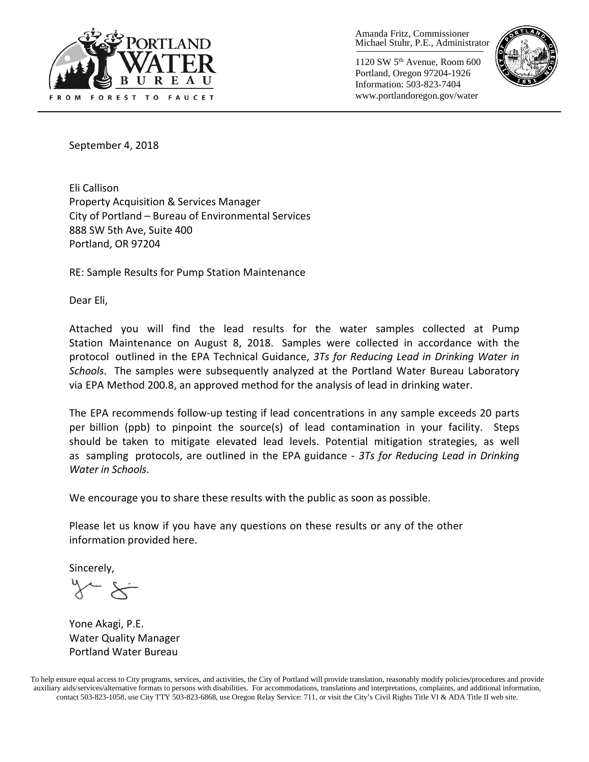

Amanda Fritz, Commissioner Michael Stuhr, P.E., Administrator

1120 SW 5th Avenue, Room 600 Portland, Oregon 97204-1926 Information: 503-823-7404 www.portlandoregon.gov/water



September 4, 2018

Eli Callison Property Acquisition & Services Manager City of Portland – Bureau of Environmental Services 888 SW 5th Ave, Suite 400 Portland, OR 97204

RE: Sample Results for Pump Station Maintenance

Dear Eli,

Attached you will find the lead results for the water samples collected at Pump Station Maintenance on August 8, 2018. Samples were collected in accordance with the protocol outlined in the EPA Technical Guidance, *3Ts for Reducing Lead in Drinking Water in Schools*. The samples were subsequently analyzed at the Portland Water Bureau Laboratory via EPA Method 200.8, an approved method for the analysis of lead in drinking water.

The EPA recommends follow-up testing if lead concentrations in any sample exceeds 20 parts per billion (ppb) to pinpoint the source(s) of lead contamination in your facility. Steps should be taken to mitigate elevated lead levels. Potential mitigation strategies, as well as sampling protocols, are outlined in the EPA guidance - *3Ts for Reducing Lead in Drinking Water in Schools*.

We encourage you to share these results with the public as soon as possible.

Please let us know if you have any questions on these results or any of the other information provided here.

Sincerely,

Yone Akagi, P.E. Water Quality Manager Portland Water Bureau

To help ensure equal access to City programs, services, and activities, the City of Portland will provide translation, reasonably modify policies/procedures and provide auxiliary aids/services/alternative formats to persons with disabilities. For accommodations, translations and interpretations, complaints, and additional information, contact 503-823-1058, use City TTY 503-823-6868, use Oregon Relay Service: 711, or visi[t the City's Civil Rights Title VI & ADA Title II web site.](http://www.portlandoregon.gov/oehr/66458)